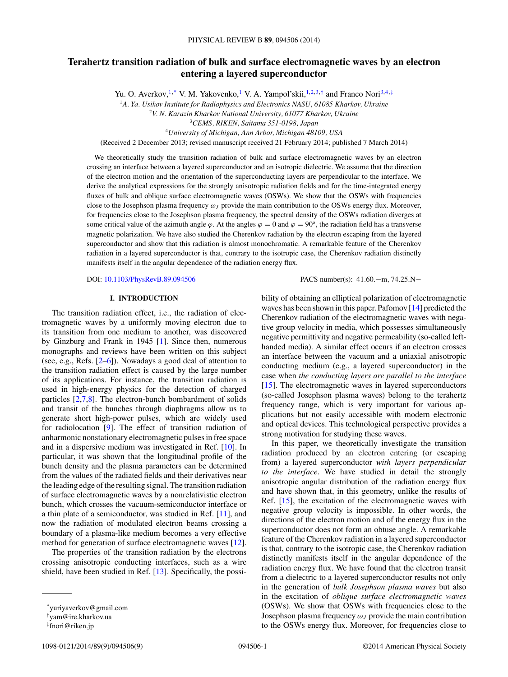# **Terahertz transition radiation of bulk and surface electromagnetic waves by an electron entering a layered superconductor**

Yu. O. Averkov,  $1,^*$  V. M. Yakovenko, <sup>1</sup> V. A. Yampol'skii,  $1,2,3,1$ <sup>†</sup> and Franco Nori<sup>3,4,‡</sup>

<sup>1</sup>*A. Ya. Usikov Institute for Radiophysics and Electronics NASU, 61085 Kharkov, Ukraine*

<sup>2</sup>*V. N. Karazin Kharkov National University, 61077 Kharkov, Ukraine*

<sup>3</sup>*CEMS, RIKEN, Saitama 351-0198, Japan*

<sup>4</sup>*University of Michigan, Ann Arbor, Michigan 48109, USA*

(Received 2 December 2013; revised manuscript received 21 February 2014; published 7 March 2014)

We theoretically study the transition radiation of bulk and surface electromagnetic waves by an electron crossing an interface between a layered superconductor and an isotropic dielectric. We assume that the direction of the electron motion and the orientation of the superconducting layers are perpendicular to the interface. We derive the analytical expressions for the strongly anisotropic radiation fields and for the time-integrated energy fluxes of bulk and oblique surface electromagnetic waves (OSWs). We show that the OSWs with frequencies close to the Josephson plasma frequency *ωJ* provide the main contribution to the OSWs energy flux. Moreover, for frequencies close to the Josephson plasma frequency, the spectral density of the OSWs radiation diverges at some critical value of the azimuth angle  $\varphi$ . At the angles  $\varphi = 0$  and  $\varphi = 90^\circ$ , the radiation field has a transverse magnetic polarization. We have also studied the Cherenkov radiation by the electron escaping from the layered superconductor and show that this radiation is almost monochromatic. A remarkable feature of the Cherenkov radiation in a layered superconductor is that, contrary to the isotropic case, the Cherenkov radiation distinctly manifests itself in the angular dependence of the radiation energy flux.

DOI: [10.1103/PhysRevB.89.094506](http://dx.doi.org/10.1103/PhysRevB.89.094506) PACS number(s): 41*.*60*.*−m*,* 74*.*25*.*N−

# **I. INTRODUCTION**

The transition radiation effect, i.e., the radiation of electromagnetic waves by a uniformly moving electron due to its transition from one medium to another, was discovered by Ginzburg and Frank in 1945 [\[1\]](#page-7-0). Since then, numerous monographs and reviews have been written on this subject (see, e.g., Refs. [\[2–6\]](#page-7-0)). Nowadays a good deal of attention to the transition radiation effect is caused by the large number of its applications. For instance, the transition radiation is used in high-energy physics for the detection of charged particles [\[2,7,8\]](#page-7-0). The electron-bunch bombardment of solids and transit of the bunches through diaphragms allow us to generate short high-power pulses, which are widely used for radiolocation [\[9\]](#page-7-0). The effect of transition radiation of anharmonic nonstationary electromagnetic pulses in free space and in a dispersive medium was investigated in Ref. [\[10\]](#page-7-0). In particular, it was shown that the longitudinal profile of the bunch density and the plasma parameters can be determined from the values of the radiated fields and their derivatives near the leading edge of the resulting signal. The transition radiation of surface electromagnetic waves by a nonrelativistic electron bunch, which crosses the vacuum-semiconductor interface or a thin plate of a semiconductor, was studied in Ref. [\[11\]](#page-7-0), and now the radiation of modulated electron beams crossing a boundary of a plasma-like medium becomes a very effective method for generation of surface electromagnetic waves [\[12\]](#page-8-0).

The properties of the transition radiation by the electrons crossing anisotropic conducting interfaces, such as a wire shield, have been studied in Ref. [\[13\]](#page-8-0). Specifically, the possi-

1098-0121/2014/89(9)/094506(9) 094506-1 ©2014 American Physical Society

bility of obtaining an elliptical polarization of electromagnetic waves has been shown in this paper. Pafomov [\[14\]](#page-8-0) predicted the Cherenkov radiation of the electromagnetic waves with negative group velocity in media, which possesses simultaneously negative permittivity and negative permeability (so-called lefthanded media). A similar effect occurs if an electron crosses an interface between the vacuum and a uniaxial anisotropic conducting medium (e.g., a layered superconductor) in the case when *the conducting layers are parallel to the interface* [\[15\]](#page-8-0). The electromagnetic waves in layered superconductors (so-called Josephson plasma waves) belong to the terahertz frequency range, which is very important for various applications but not easily accessible with modern electronic and optical devices. This technological perspective provides a strong motivation for studying these waves.

In this paper, we theoretically investigate the transition radiation produced by an electron entering (or escaping from) a layered superconductor *with layers perpendicular to the interface*. We have studied in detail the strongly anisotropic angular distribution of the radiation energy flux and have shown that, in this geometry, unlike the results of Ref. [\[15\]](#page-8-0), the excitation of the electromagnetic waves with negative group velocity is impossible. In other words, the directions of the electron motion and of the energy flux in the superconductor does not form an obtuse angle. A remarkable feature of the Cherenkov radiation in a layered superconductor is that, contrary to the isotropic case, the Cherenkov radiation distinctly manifests itself in the angular dependence of the radiation energy flux. We have found that the electron transit from a dielectric to a layered superconductor results not only in the generation of *bulk Josephson plasma waves* but also in the excitation of *oblique surface electromagnetic waves* (OSWs). We show that OSWs with frequencies close to the Josephson plasma frequency *ωJ* provide the main contribution to the OSWs energy flux. Moreover, for frequencies close to

<sup>\*</sup>yuriyaverkov@gmail.com

<sup>†</sup> yam@ire.kharkov.ua

<sup>‡</sup> fnori@riken.jp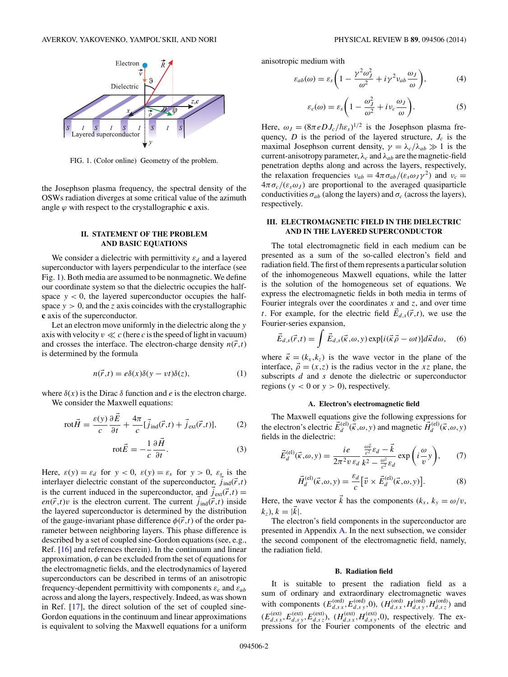<span id="page-1-0"></span>

FIG. 1. (Color online) Geometry of the problem.

the Josephson plasma frequency, the spectral density of the OSWs radiation diverges at some critical value of the azimuth angle  $\varphi$  with respect to the crystallographic **c** axis.

# **II. STATEMENT OF THE PROBLEM AND BASIC EQUATIONS**

We consider a dielectric with permittivity  $\varepsilon_d$  and a layered superconductor with layers perpendicular to the interface (see Fig. 1). Both media are assumed to be nonmagnetic. We define our coordinate system so that the dielectric occupies the halfspace  $y < 0$ , the layered superconductor occupies the halfspace  $y > 0$ , and the *z* axis coincides with the crystallographic **c** axis of the superconductor.

Let an electron move uniformly in the dielectric along the *y* axis with velocity  $v \ll c$  (here *c* is the speed of light in vacuum) and crosses the interface. The electron-charge density  $n(\vec{r},t)$ is determined by the formula

$$
n(\vec{r},t) = e\delta(x)\delta(y - vt)\delta(z),\tag{1}
$$

where  $\delta(x)$  is the Dirac  $\delta$  function and *e* is the electron charge. We consider the Maxwell equations:

$$
\text{rot}\vec{H} = \frac{\varepsilon(y)}{c} \frac{\partial \vec{E}}{\partial t} + \frac{4\pi}{c} [\vec{j}_{\text{ind}}(\vec{r}, t) + \vec{j}_{\text{ext}}(\vec{r}, t)],\tag{2}
$$

$$
\operatorname{rot}\vec{E} = -\frac{1}{c}\frac{\partial\vec{H}}{\partial t}.
$$
 (3)

Here,  $\varepsilon(y) = \varepsilon_d$  for  $y < 0$ ,  $\varepsilon(y) = \varepsilon_s$  for  $y > 0$ ,  $\varepsilon_s$  is the interlayer dielectric constant of the superconductor,  $\vec{j}_{\text{ind}}(\vec{r},t)$ is the current induced in the superconductor, and  $\vec{j}_{ext}(\vec{r},t) =$ *en*( $\vec{r}$ ,*t*)*v* is the electron current. The current  $\vec{j}_{ind}(\vec{r},t)$  inside the layered superconductor is determined by the distribution of the gauge-invariant phase difference  $\phi(\vec{r},t)$  of the order parameter between neighboring layers. This phase difference is described by a set of coupled sine-Gordon equations (see, e.g., Ref. [\[16\]](#page-8-0) and references therein). In the continuum and linear approximation,  $\phi$  can be excluded from the set of equations for the electromagnetic fields, and the electrodynamics of layered superconductors can be described in terms of an anisotropic frequency-dependent permittivity with components  $\varepsilon_c$  and  $\varepsilon_{ab}$ across and along the layers, respectively. Indeed, as was shown in Ref. [\[17\]](#page-8-0), the direct solution of the set of coupled sine-Gordon equations in the continuum and linear approximations is equivalent to solving the Maxwell equations for a uniform anisotropic medium with

$$
\varepsilon_{ab}(\omega) = \varepsilon_s \left( 1 - \frac{\gamma^2 \omega_J^2}{\omega^2} + i \gamma^2 \nu_{ab} \frac{\omega_J}{\omega} \right),\tag{4}
$$

$$
\varepsilon_c(\omega) = \varepsilon_s \bigg( 1 - \frac{\omega_J^2}{\omega^2} + i v_c \frac{\omega_J}{\omega} \bigg). \tag{5}
$$

Here,  $\omega_J = (8\pi e D J_c/\hbar \varepsilon_s)^{1/2}$  is the Josephson plasma frequency,  $D$  is the period of the layered structure,  $J_c$  is the maximal Josephson current density,  $\gamma = \lambda_c / \lambda_{ab} \gg 1$  is the current-anisotropy parameter, *λc* and *λab* are the magnetic-field penetration depths along and across the layers, respectively, the relaxation frequencies  $v_{ab} = 4\pi \sigma_{ab}/(\varepsilon_s \omega_J \gamma^2)$  and  $v_c =$  $4\pi\sigma_c/(\varepsilon_s\omega_J)$  are proportional to the averaged quasiparticle conductivities  $\sigma_{ab}$  (along the layers) and  $\sigma_c$  (across the layers), respectively.

### **III. ELECTROMAGNETIC FIELD IN THE DIELECTRIC AND IN THE LAYERED SUPERCONDUCTOR**

The total electromagnetic field in each medium can be presented as a sum of the so-called electron's field and radiation field. The first of them represents a particular solution of the inhomogeneous Maxwell equations, while the latter is the solution of the homogeneous set of equations. We express the electromagnetic fields in both media in terms of Fourier integrals over the coordinates *x* and *z*, and over time *t*. For example, for the electric field  $\vec{E}_{d,s}(\vec{r},t)$ , we use the Fourier-series expansion,

$$
\vec{E}_{d,s}(\vec{r},t) = \int \vec{E}_{d,s}(\vec{\kappa},\omega,y) \exp[i(\vec{\kappa}\vec{\rho}-\omega t)]d\vec{\kappa}d\omega, \quad (6)
$$

where  $\vec{k} = (k_x, k_z)$  is the wave vector in the plane of the interface,  $\vec{\rho} = (x, z)$  is the radius vector in the *xz* plane, the subscripts *d* and *s* denote the dielectric or superconductor regions ( $y < 0$  or  $y > 0$ ), respectively.

#### **A. Electron's electromagnetic field**

The Maxwell equations give the following expressions for the electron's electric  $\vec{E}_d^{(el)}(\vec{k},\omega,y)$  and magnetic  $\vec{H}_d^{(el)}(\vec{k},\omega,y)$ fields in the dielectric:

$$
\vec{E}_d^{(\text{el})}(\vec{\kappa}, \omega, y) = \frac{i e}{2\pi^2 v \,\varepsilon_d} \frac{\frac{\omega \vec{v}}{c^2} \varepsilon_d - \vec{k}}{k^2 - \frac{\omega^2}{c^2} \varepsilon_d} \exp\left(i \frac{\omega}{v} y\right),\tag{7}
$$

$$
\vec{H}_d^{(\text{el})}(\vec{\kappa}, \omega, y) = \frac{\varepsilon_d}{c} \left[ \vec{v} \times \vec{E}_d^{(\text{el})}(\vec{\kappa}, \omega, y) \right]. \tag{8}
$$

Here, the wave vector  $\vec{k}$  has the components  $(k_x, k_y = \omega/v$ ,  $k_z$ ),  $k = |\vec{k}|$ .

The electron's field components in the superconductor are presented in Appendix [A.](#page-5-0) In the next subsection, we consider the second component of the electromagnetic field, namely, the radiation field.

#### **B. Radiation field**

It is suitable to present the radiation field as a sum of ordinary and extraordinary electromagnetic waves with components  $(E_{d,sx}^{(\text{ord})}, E_{d,sy}^{(\text{ord})}, 0)$ ,  $(H_{d,sx}^{(\text{ord})}, H_{d,sy}^{(\text{ord})}, H_{d,sz}^{(\text{ord})})$  and  $(E_{d,sx}^{(ext)}, E_{d,sy}^{(ext)}, E_{d,sz}^{(ext)}), \ (H_{d,sx}^{(ext)}, H_{d,sy}^{(ext)}, 0),$  respectively. The expressions for the Fourier components of the electric and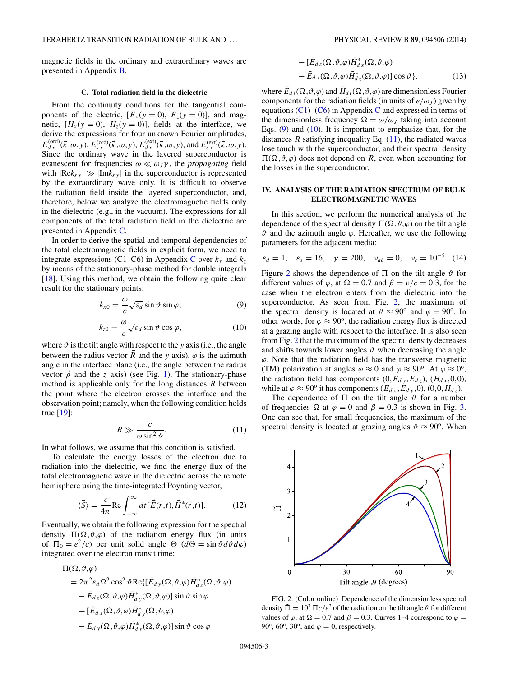<span id="page-2-0"></span>magnetic fields in the ordinary and extraordinary waves are presented in Appendix [B.](#page-5-0)

#### **C. Total radiation field in the dielectric**

From the continuity conditions for the tangential components of the electric,  $[E_x(y = 0), E_z(y = 0)]$ , and magnetic,  $[H_x(y = 0), H_z(y = 0)]$ , fields at the interface, we derive the expressions for four unknown Fourier amplitudes,  $E_{d}^{(\text{ord})}(\vec{k},\omega,y)$ ,  $E_{s,x}^{(\text{ord})}(\vec{k},\omega,y)$ ,  $E_{d,x}^{(\text{ext})}(\vec{k},\omega,y)$ , and  $E_{s,x}^{(\text{ext})}(\vec{k},\omega,y)$ . Since the ordinary wave in the layered superconductor is evanescent for frequencies  $\omega \ll \omega_J \gamma$ , the *propagating* field with  $|Re k_{s y}| \gg |Im k_{s y}|$  in the superconductor is represented by the extraordinary wave only. It is difficult to observe the radiation field inside the layered superconductor, and, therefore, below we analyze the electromagnetic fields only in the dielectric (e.g., in the vacuum). The expressions for all components of the total radiation field in the dielectric are presented in Appendix [C.](#page-6-0)

In order to derive the spatial and temporal dependencies of the total electromagnetic fields in explicit form, we need to integrate expressions ([C](#page-6-0)1–C6) in Appendix C over  $k_x$  and  $k_z$ by means of the stationary-phase method for double integrals  $[18]$ . Using this method, we obtain the following quite clear result for the stationary points:

$$
k_{x0} = \frac{\omega}{c} \sqrt{\varepsilon_d} \sin \vartheta \sin \varphi, \qquad (9)
$$

$$
k_{z0} = \frac{\omega}{c} \sqrt{\varepsilon_d} \sin \vartheta \cos \varphi, \qquad (10)
$$

where  $\vartheta$  is the tilt angle with respect to the *y* axis (i.e., the angle between the radius vector  $\vec{R}$  and the *y* axis),  $\varphi$  is the azimuth angle in the interface plane (i.e., the angle between the radius vector  $\vec{\rho}$  and the *z* axis) (see Fig. [1\)](#page-1-0). The stationary-phase method is applicable only for the long distances *R* between the point where the electron crosses the interface and the observation point; namely, when the following condition holds true [\[19\]](#page-8-0):

$$
R \gg \frac{c}{\omega \sin^2 \vartheta}.\tag{11}
$$

In what follows, we assume that this condition is satisfied.

To calculate the energy losses of the electron due to radiation into the dielectric, we find the energy flux of the total electromagnetic wave in the dielectric across the remote hemisphere using the time-integrated Poynting vector,

$$
\langle \vec{S} \rangle = \frac{c}{4\pi} \text{Re} \int_{-\infty}^{\infty} dt [\vec{E}(\vec{r}, t), \vec{H}^*(\vec{r}, t)]. \tag{12}
$$

Eventually, we obtain the following expression for the spectral density  $\Pi(\Omega, \vartheta, \varphi)$  of the radiation energy flux (in units of  $\Pi_0 = e^2/c$  per unit solid angle  $\Theta$  ( $d\Theta = \sin \vartheta d\vartheta d\varphi$ ) integrated over the electron transit time:

$$
\Pi(\Omega, \vartheta, \varphi)
$$
\n
$$
= 2\pi^2 \varepsilon_d \Omega^2 \cos^2 \vartheta \text{Re}\{ [\bar{E}_{dy}(\Omega, \vartheta, \varphi) \bar{H}_{dz}^*(\Omega, \vartheta, \varphi) - \bar{E}_{dz}(\Omega, \vartheta, \varphi) \bar{H}_{dy}^*(\Omega, \vartheta, \varphi)] \sin \vartheta \sin \varphi
$$
\n
$$
+ [\bar{E}_{dx}(\Omega, \vartheta, \varphi) \bar{H}_{dy}^*(\Omega, \vartheta, \varphi)] \sin \vartheta \cos \varphi
$$
\n
$$
- \bar{E}_{dy}(\Omega, \vartheta, \varphi) \bar{H}_{dx}^*(\Omega, \vartheta, \varphi)] \sin \vartheta \cos \varphi
$$

$$
- [\bar{E}_{d\,z}(\Omega,\vartheta,\varphi)\bar{H}_{d\,x}^*(\Omega,\vartheta,\varphi) - \bar{E}_{d\,x}(\Omega,\vartheta,\varphi)\bar{H}_{d\,z}^*(\Omega,\vartheta,\varphi)]\cos\vartheta\},
$$
(13)

where  $\bar{E}_{di}(\Omega, \vartheta, \varphi)$  and  $\bar{H}_{di}(\Omega, \vartheta, \varphi)$  are dimensionless Fourier components for the radiation fields (in units of  $e/\omega_J$ ) given by equations  $(C1)$ – $(C6)$  in Appendix [C](#page-6-0) and expressed in terms of the dimensionless frequency  $\Omega = \omega/\omega_J$  taking into account Eqs.  $(9)$  and  $(10)$ . It is important to emphasize that, for the distances  $R$  satisfying inequality Eq.  $(11)$ , the radiated waves lose touch with the superconductor, and their spectral density  $\Pi(\Omega,\vartheta,\varphi)$  does not depend on *R*, even when accounting for the losses in the superconductor.

# **IV. ANALYSIS OF THE RADIATION SPECTRUM OF BULK ELECTROMAGNETIC WAVES**

In this section, we perform the numerical analysis of the dependence of the spectral density  $\Pi(\Omega, \vartheta, \varphi)$  on the tilt angle *ϑ* and the azimuth angle *ϕ*. Hereafter, we use the following parameters for the adjacent media:

$$
\varepsilon_d = 1
$$
,  $\varepsilon_s = 16$ ,  $\gamma = 200$ ,  $v_{ab} = 0$ ,  $v_c = 10^{-5}$ . (14)

Figure 2 shows the dependence of  $\Pi$  on the tilt angle  $\vartheta$  for different values of  $\varphi$ , at  $\Omega = 0.7$  and  $\beta = v/c = 0.3$ , for the case when the electron enters from the dielectric into the superconductor. As seen from Fig. 2, the maximum of the spectral density is located at  $\vartheta \approx 90^{\circ}$  and  $\varphi = 90^{\circ}$ . In other words, for  $\varphi \approx 90^{\circ}$ , the radiation energy flux is directed at a grazing angle with respect to the interface. It is also seen from Fig. 2 that the maximum of the spectral density decreases and shifts towards lower angles  $\vartheta$  when decreasing the angle *ϕ*. Note that the radiation field has the transverse magnetic (TM) polarization at angles  $\varphi \approx 0$  and  $\varphi \approx 90^{\circ}$ . At  $\varphi \approx 0^{\circ}$ , the radiation field has components  $(0, E_d, E_d, E_d)$ ,  $(H_d, R, 0, 0)$ , while at  $\varphi \approx 90^\circ$  it has components  $(E_{dx}, E_{dy}, 0), (0, 0, H_{dz})$ .

The dependence of  $\Pi$  on the tilt angle  $\vartheta$  for a number of frequencies  $\Omega$  at  $\varphi = 0$  and  $\beta = 0.3$  is shown in Fig. [3.](#page-3-0) One can see that, for small frequencies, the maximum of the spectral density is located at grazing angles  $\vartheta \approx 90^\circ$ . When



FIG. 2. (Color online) Dependence of the dimensionless spectral density  $\tilde{\Pi} = 10^3 \Pi c/e^2$  of the radiation on the tilt angle  $\vartheta$  for different values of  $\varphi$ , at  $\Omega = 0.7$  and  $\beta = 0.3$ . Curves 1–4 correspond to  $\varphi =$ 90<sup>o</sup>, 60<sup>o</sup>, 30<sup>o</sup>, and  $\varphi = 0$ , respectively.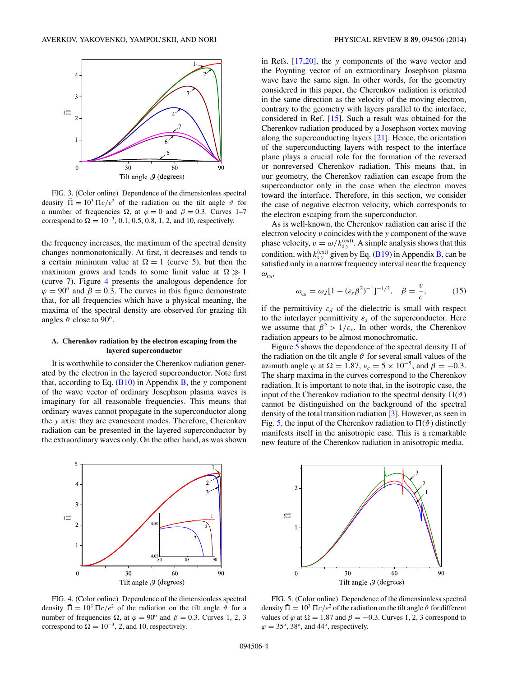<span id="page-3-0"></span>

FIG. 3. (Color online) Dependence of the dimensionless spectral density  $\tilde{\Pi} = 10^3 \Pi c/e^2$  of the radiation on the tilt angle  $\vartheta$  for a number of frequencies  $\Omega$ , at  $\varphi = 0$  and  $\beta = 0.3$ . Curves 1–7 correspond to  $\Omega = 10^{-3}$ , 0.1, 0.5, 0.8, 1, 2, and 10, respectively.

the frequency increases, the maximum of the spectral density changes nonmonotonically. At first, it decreases and tends to a certain minimum value at  $\Omega = 1$  (curve 5), but then the maximum grows and tends to some limit value at  $\Omega \gg 1$ (curve 7). Figure 4 presents the analogous dependence for  $\varphi = 90^{\circ}$  and  $\beta = 0.3$ . The curves in this figure demonstrate that, for all frequencies which have a physical meaning, the maxima of the spectral density are observed for grazing tilt angles  $\vartheta$  close to 90<sup>o</sup>.

#### **A. Cherenkov radiation by the electron escaping from the layered superconductor**

It is worthwhile to consider the Cherenkov radiation generated by the electron in the layered superconductor. Note first that, according to Eq. [\(B10\)](#page-6-0) in Appendix [B,](#page-5-0) the *y* component of the wave vector of ordinary Josephson plasma waves is imaginary for all reasonable frequencies. This means that ordinary waves cannot propagate in the superconductor along the *y* axis: they are evanescent modes. Therefore, Cherenkov radiation can be presented in the layered superconductor by the extraordinary waves only. On the other hand, as was shown

-3

 $\mathcal{D}$ 

 $\overline{0}$ 

 $\sum$ 

30

 $4.5$ 

 $4.0$ 

Tilt angle  $\mathcal{G}$  (degrees)

85

90

60

in Refs. [\[17,20\]](#page-8-0), the *y* components of the wave vector and the Poynting vector of an extraordinary Josephson plasma wave have the same sign. In other words, for the geometry considered in this paper, the Cherenkov radiation is oriented in the same direction as the velocity of the moving electron, contrary to the geometry with layers parallel to the interface, considered in Ref. [\[15\]](#page-8-0). Such a result was obtained for the Cherenkov radiation produced by a Josephson vortex moving along the superconducting layers [\[21\]](#page-8-0). Hence, the orientation of the superconducting layers with respect to the interface plane plays a crucial role for the formation of the reversed or nonreversed Cherenkov radiation. This means that, in our geometry, the Cherenkov radiation can escape from the superconductor only in the case when the electron moves toward the interface. Therefore, in this section, we consider the case of negative electron velocity, which corresponds to the electron escaping from the superconductor.

As is well-known, the Cherenkov radiation can arise if the electron velocity *v* coincides with the *y* component of the wave phase velocity,  $v = \omega / k_{s}^{(\text{ext})}$ . A simple analysis shows that this condition, with  $k_{s}^{(ext)}$  given by Eq. [\(B19\)](#page-6-0) in Appendix [B,](#page-5-0) can be satisfied only in a narrow frequency interval near the frequency  $\omega_{\text{Ch}}^{\text{}}$ 

$$
\omega_{\text{Ch}} = \omega_J [1 - (\varepsilon_s \beta^2)^{-1}]^{-1/2}, \quad \beta = \frac{v}{c}, \quad (15)
$$

if the permittivity  $\varepsilon_d$  of the dielectric is small with respect to the interlayer permittivity  $\varepsilon_s$  of the superconductor. Here we assume that  $\beta^2 > 1/\varepsilon_s$ . In other words, the Cherenkov radiation appears to be almost monochromatic.

Figure 5 shows the dependence of the spectral density  $\Pi$  of the radiation on the tilt angle  $\vartheta$  for several small values of the azimuth angle  $\varphi$  at  $\Omega = 1.87$ ,  $v_c = 5 \times 10^{-5}$ , and  $\beta = -0.3$ . The sharp maxima in the curves correspond to the Cherenkov radiation. It is important to note that, in the isotropic case, the input of the Cherenkov radiation to the spectral density  $\Pi(\vartheta)$ cannot be distinguished on the background of the spectral density of the total transition radiation [\[3\]](#page-7-0). However, as seen in Fig. 5, the input of the Cherenkov radiation to  $\Pi(\vartheta)$  distinctly manifests itself in the anisotropic case. This is a remarkable new feature of the Cherenkov radiation in anisotropic media.



FIG. 5. (Color online) Dependence of the dimensionless spectral density  $\tilde{\Pi} = 10^3 \Pi c/e^2$  of the radiation on the tilt angle  $\vartheta$  for different values of  $\varphi$  at  $\Omega = 1.87$  and  $\beta = -0.3$ . Curves 1, 2, 3 correspond to  $\varphi = 35^{\circ}$ , 38°, and 44°, respectively.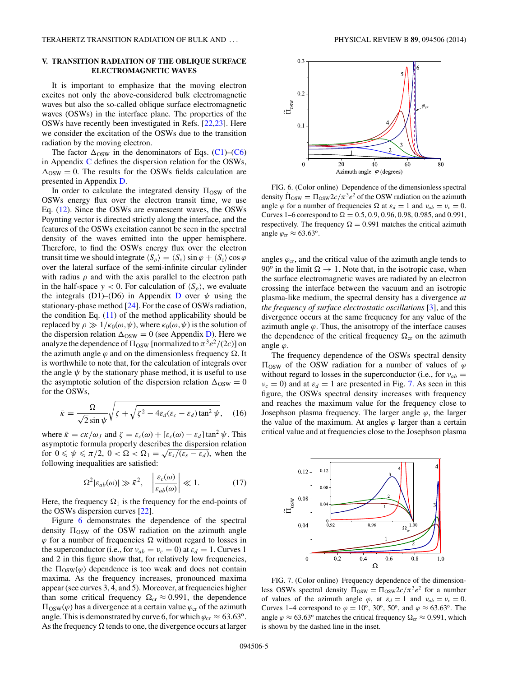### **V. TRANSITION RADIATION OF THE OBLIQUE SURFACE ELECTROMAGNETIC WAVES**

It is important to emphasize that the moving electron excites not only the above-considered bulk electromagnetic waves but also the so-called oblique surface electromagnetic waves (OSWs) in the interface plane. The properties of the OSWs have recently been investigated in Refs. [\[22,23\]](#page-8-0). Here we consider the excitation of the OSWs due to the transition radiation by the moving electron.

The factor  $\Delta_{OSW}$  in the denominators of Eqs. [\(C1\)](#page-6-0)–[\(C6\)](#page-6-0) in Appendix [C](#page-6-0) defines the dispersion relation for the OSWs,  $\Delta_{OSW} = 0$ . The results for the OSWs fields calculation are presented in Appendix [D.](#page-7-0)

In order to calculate the integrated density  $\Pi_{OSW}$  of the OSWs energy flux over the electron transit time, we use Eq. [\(12\)](#page-2-0). Since the OSWs are evanescent waves, the OSWs Poynting vector is directed strictly along the interface, and the features of the OSWs excitation cannot be seen in the spectral density of the waves emitted into the upper hemisphere. Therefore, to find the OSWs energy flux over the electron transit time we should integrate  $\langle S_\rho \rangle = \langle S_x \rangle \sin \varphi + \langle S_z \rangle \cos \varphi$ over the lateral surface of the semi-infinite circular cylinder with radius  $\rho$  and with the axis parallel to the electron path in the half-space  $y < 0$ . For calculation of  $\langle S_{\rho} \rangle$ , we evaluate the integrals ([D](#page-7-0)1)–(D6) in Appendix D over  $\psi$  using the stationary-phase method [\[24\]](#page-8-0). For the case of OSWs radiation, the condition Eq.  $(11)$  of the method applicability should be replaced by  $\rho \gg 1/\kappa_0(\omega, \psi)$ , where  $\kappa_0(\omega, \psi)$  is the solution of the dispersion relation  $\Delta_{OSW} = 0$  (see Appendix [D\)](#page-7-0). Here we analyze the dependence of  $\Pi_{OSW}$  [normalized to  $\pi^3 e^2/(2c)$ ] on the azimuth angle  $\varphi$  and on the dimensionless frequency  $\Omega$ . It is worthwhile to note that, for the calculation of integrals over the angle  $\psi$  by the stationary phase method, it is useful to use the asymptotic solution of the dispersion relation  $\Delta_{OSW} = 0$ for the OSWs,

$$
\bar{\kappa} = \frac{\Omega}{\sqrt{2}\sin\psi} \sqrt{\zeta + \sqrt{\zeta^2 - 4\varepsilon_d(\varepsilon_c - \varepsilon_d)\tan^2\psi}}, \quad (16)
$$

where  $\bar{\kappa} = c\kappa/\omega_J$  and  $\zeta = \varepsilon_c(\omega) + [\varepsilon_c(\omega) - \varepsilon_d] \tan^2 \psi$ . This asymptotic formula properly describes the dispersion relation  $\frac{1}{2}$  asymptotic formula property describes the dispersion relation<br>for  $0 \le \psi \le \pi/2$ ,  $0 < \Omega < \Omega_1 = \sqrt{\varepsilon_s/(\varepsilon_s - \varepsilon_d)}$ , when the following inequalities are satisfied:

$$
\Omega^2 |\varepsilon_{ab}(\omega)| \gg \bar{\kappa}^2, \quad \left| \frac{\varepsilon_c(\omega)}{\varepsilon_{ab}(\omega)} \right| \ll 1. \tag{17}
$$

Here, the frequency  $\Omega_1$  is the frequency for the end-points of the OSWs dispersion curves [\[22\]](#page-8-0).

Figure 6 demonstrates the dependence of the spectral density  $\Pi_{OSW}$  of the OSW radiation on the azimuth angle  $\varphi$  for a number of frequencies  $\Omega$  without regard to losses in the superconductor (i.e., for  $v_{ab} = v_c = 0$ ) at  $\varepsilon_d = 1$ . Curves 1 and 2 in this figure show that, for relatively low frequencies, the  $\Pi_{OSW}(\varphi)$  dependence is too weak and does not contain maxima. As the frequency increases, pronounced maxima appear (see curves 3, 4, and 5). Moreover, at frequencies higher than some critical frequency  $\Omega_{cr} \approx 0.991$ , the dependence  $\Pi_{OSW}(\varphi)$  has a divergence at a certain value  $\varphi_{cr}$  of the azimuth angle. This is demonstrated by curve 6, for which  $\varphi_{cr} \approx 63.63^{\circ}$ . As the frequency  $\Omega$  tends to one, the divergence occurs at larger



FIG. 6. (Color online) Dependence of the dimensionless spectral density  $\tilde{\Pi}_{OSW} = \Pi_{OSW} 2c/\pi^3 e^2$  of the OSW radiation on the azimuth angle  $\varphi$  for a number of frequencies  $\Omega$  at  $\varepsilon_d = 1$  and  $v_{ab} = v_c = 0$ . Curves 1–6 correspond to  $\Omega = 0.5, 0.9, 0.96, 0.98, 0.985,$  and 0.991, respectively. The frequency  $\Omega = 0.991$  matches the critical azimuth angle  $\varphi_{cr} \approx 63.63^{\circ}$ .

angles  $\varphi_{cr}$ , and the critical value of the azimuth angle tends to 90<sup>o</sup> in the limit  $\Omega \rightarrow 1$ . Note that, in the isotropic case, when the surface electromagnetic waves are radiated by an electron crossing the interface between the vacuum and an isotropic plasma-like medium, the spectral density has a divergence *at the frequency of surface electrostatic oscillations* [\[3\]](#page-7-0), and this divergence occurs at the same frequency for any value of the azimuth angle  $\varphi$ . Thus, the anisotropy of the interface causes the dependence of the critical frequency  $\Omega_{cr}$  on the azimuth angle *ϕ*.

The frequency dependence of the OSWs spectral density  $\Pi_{OSW}$  of the OSW radiation for a number of values of  $\varphi$ without regard to losses in the superconductor (i.e., for  $v_{ab}$  =  $v_c = 0$ ) and at  $\varepsilon_d = 1$  are presented in Fig. 7. As seen in this figure, the OSWs spectral density increases with frequency and reaches the maximum value for the frequency close to Josephson plasma frequency. The larger angle  $\varphi$ , the larger the value of the maximum. At angles  $\varphi$  larger than a certain critical value and at frequencies close to the Josephson plasma



FIG. 7. (Color online) Frequency dependence of the dimensionless OSWs spectral density  $\overline{\Pi}_{OSW} = \Pi_{OSW} 2c / \pi^3 e^2$  for a number of values of the azimuth angle  $\varphi$ , at  $\varepsilon_d = 1$  and  $v_{ab} = v_c = 0$ . Curves 1–4 correspond to  $\varphi = 10^{\circ}$ , 30°, 50°, and  $\varphi \approx 63.63^{\circ}$ . The angle  $\varphi \approx 63.63^{\circ}$  matches the critical frequency  $\Omega_{cr} \approx 0.991$ , which is shown by the dashed line in the inset.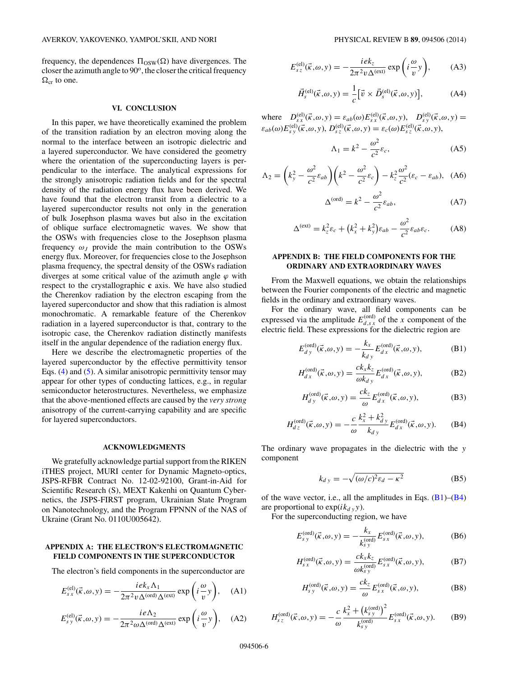<span id="page-5-0"></span>frequency, the dependences  $\Pi_{OSW}(\Omega)$  have divergences. The closer the azimuth angle to  $90^\circ$ , the closer the critical frequency  $\Omega_{cr}$  to one.

#### **VI. CONCLUSION**

In this paper, we have theoretically examined the problem of the transition radiation by an electron moving along the normal to the interface between an isotropic dielectric and a layered superconductor. We have considered the geometry where the orientation of the superconducting layers is perpendicular to the interface. The analytical expressions for the strongly anisotropic radiation fields and for the spectral density of the radiation energy flux have been derived. We have found that the electron transit from a dielectric to a layered superconductor results not only in the generation of bulk Josephson plasma waves but also in the excitation of oblique surface electromagnetic waves. We show that the OSWs with frequencies close to the Josephson plasma frequency  $\omega_J$  provide the main contribution to the OSWs energy flux. Moreover, for frequencies close to the Josephson plasma frequency, the spectral density of the OSWs radiation diverges at some critical value of the azimuth angle  $\varphi$  with respect to the crystallographic **c** axis. We have also studied the Cherenkov radiation by the electron escaping from the layered superconductor and show that this radiation is almost monochromatic. A remarkable feature of the Cherenkov radiation in a layered superconductor is that, contrary to the isotropic case, the Cherenkov radiation distinctly manifests itself in the angular dependence of the radiation energy flux.

Here we describe the electromagnetic properties of the layered superconductor by the effective permittivity tensor Eqs. [\(4\)](#page-1-0) and [\(5\)](#page-1-0). A similar anisotropic permittivity tensor may appear for other types of conducting lattices, e.g., in regular semiconductor heterostructures. Nevertheless, we emphasize that the above-mentioned effects are caused by the *very strong* anisotropy of the current-carrying capability and are specific for layered superconductors.

#### **ACKNOWLEDGMENTS**

We gratefully acknowledge partial support from the RIKEN iTHES project, MURI center for Dynamic Magneto-optics, JSPS-RFBR Contract No. 12-02-92100, Grant-in-Aid for Scientific Research (S), MEXT Kakenhi on Quantum Cybernetics, the JSPS-FIRST program, Ukrainian State Program on Nanotechnology, and the Program FPNNN of the NAS of Ukraine (Grant No. 0110U005642).

# **APPENDIX A: THE ELECTRON'S ELECTROMAGNETIC FIELD COMPONENTS IN THE SUPERCONDUCTOR**

The electron's field components in the superconductor are

$$
E_{s\,x}^{(\text{el})}(\vec{\kappa}, \omega, y) = -\frac{i e k_x \Lambda_1}{2\pi^2 v \Delta^{(\text{ord})} \Delta^{(\text{ext})}} \exp\left(i\frac{\omega}{v}y\right), \quad \text{(A1)}
$$

$$
E_{s\,y}^{(\text{el})}(\vec{\kappa}, \omega, y) = -\frac{i e \Lambda_2}{2\pi^2 \omega \Delta^{(\text{ord})} \Delta^{(\text{ext})}} \exp\left(i\frac{\omega}{v}y\right), \quad \text{(A2)}
$$

$$
E_{s\,z}^{(\text{el})}(\vec{\kappa}, \omega, y) = -\frac{ie k_z}{2\pi^2 v \Delta^{(\text{ext})}} \exp\left(i\frac{\omega}{v}y\right),\tag{A3}
$$

$$
\vec{H}_s^{(\text{el})}(\vec{\kappa}, \omega, y) = \frac{1}{c} \left[ \vec{v} \times \vec{D}_s^{(\text{el})}(\vec{\kappa}, \omega, y) \right],\tag{A4}
$$

where  $D_{s}^{(el)}(\vec{\kappa}, \omega, y) = \varepsilon_{ab}(\omega) E_{s}^{(el)}(\vec{\kappa}, \omega, y), \quad D_{s}^{(el)}(\vec{\kappa}, \omega, y) =$  $\varepsilon_{ab}(\omega) E_{s}^{(\text{el})}(\vec{\kappa}, \omega, y), D_{s}^{(\text{el})}(\vec{\kappa}, \omega, y) = \varepsilon_c(\omega) E_{s}^{(\text{el})}(\vec{\kappa}, \omega, y),$ 

$$
\Lambda_1 = k^2 - \frac{\omega^2}{c^2} \varepsilon_c,
$$
 (A5)

$$
\Lambda_2 = \left(k_y^2 - \frac{\omega^2}{c^2} \varepsilon_{ab}\right) \left(k^2 - \frac{\omega^2}{c^2} \varepsilon_c\right) - k_z^2 \frac{\omega^2}{c^2} (\varepsilon_c - \varepsilon_{ab}), \tag{A6}
$$

$$
\Delta^{(\text{ord})} = k^2 - \frac{\omega^2}{c^2} \varepsilon_{ab},\tag{A7}
$$

$$
\Delta^{(ext)} = k_z^2 \varepsilon_c + (k_x^2 + k_y^2) \varepsilon_{ab} - \frac{\omega^2}{c^2} \varepsilon_{ab} \varepsilon_c.
$$
 (A8)

### **APPENDIX B: THE FIELD COMPONENTS FOR THE ORDINARY AND EXTRAORDINARY WAVES**

From the Maxwell equations, we obtain the relationships between the Fourier components of the electric and magnetic fields in the ordinary and extraordinary waves.

For the ordinary wave, all field components can be expressed via the amplitude  $E_{d,sx}^{\text{(ord)}}$  of the *x* component of the electric field. These expressions for the dielectric region are

$$
E_{dy}^{(\text{ord})}(\vec{\kappa}, \omega, y) = -\frac{k_x}{k_{dy}} E_{dx}^{(\text{ord})}(\vec{\kappa}, \omega, y), \tag{B1}
$$

$$
H_{dx}^{(\text{ord})}(\vec{\kappa}, \omega, y) = \frac{ck_x k_z}{\omega k_{dy}} E_{dx}^{(\text{ord})}(\vec{\kappa}, \omega, y),
$$
 (B2)

$$
H_{d\,y}^{(\text{ord})}(\vec{\kappa}, \omega, y) = \frac{ck_z}{\omega} E_{d\,x}^{(\text{ord})}(\vec{\kappa}, \omega, y), \tag{B3}
$$

$$
H_{dz}^{(\text{ord})}(\vec{\kappa}, \omega, y) = -\frac{c}{\omega} \frac{k_x^2 + k_{dy}^2}{k_{dy}} E_{dx}^{(\text{ord})}(\vec{\kappa}, \omega, y). \tag{B4}
$$

The ordinary wave propagates in the dielectric with the *y* component

$$
k_{dy} = -\sqrt{(\omega/c)^2 \varepsilon_d - \kappa^2}
$$
 (B5)

of the wave vector, i.e., all the amplitudes in Eqs.  $(B1)$ – $(B4)$ are proportional to  $exp(ik_d y)$ .

For the superconducting region, we have

$$
E_{s\,y}^{\text{(ord)}}(\vec{\kappa},\omega,y) = -\frac{k_x}{k_{s\,y}^{\text{(ord)}}} E_{s\,x}^{\text{(ord)}}(\vec{\kappa},\omega,y),\tag{B6}
$$

$$
H_{s\,x}^{(\text{ord})}(\vec{\kappa}, \omega, y) = \frac{ck_x k_z}{\omega k_{s\,y}^{(\text{ord})}} E_{s\,x}^{(\text{ord})}(\vec{\kappa}, \omega, y),\tag{B7}
$$

$$
H_{s\,y}^{\text{(ord)}}(\vec{\kappa},\omega,y) = \frac{ck_z}{\omega} E_{s\,x}^{\text{(ord)}}(\vec{\kappa},\omega,y),\tag{B8}
$$

$$
H_{s\,z}^{(\text{ord})}(\vec{\kappa},\omega,y) = -\frac{c}{\omega} \frac{k_x^2 + (k_{s\,y}^{(\text{ord})})^2}{k_{s\,y}^{(\text{ord})}} E_{s\,x}^{(\text{ord})}(\vec{\kappa},\omega,y). \tag{B9}
$$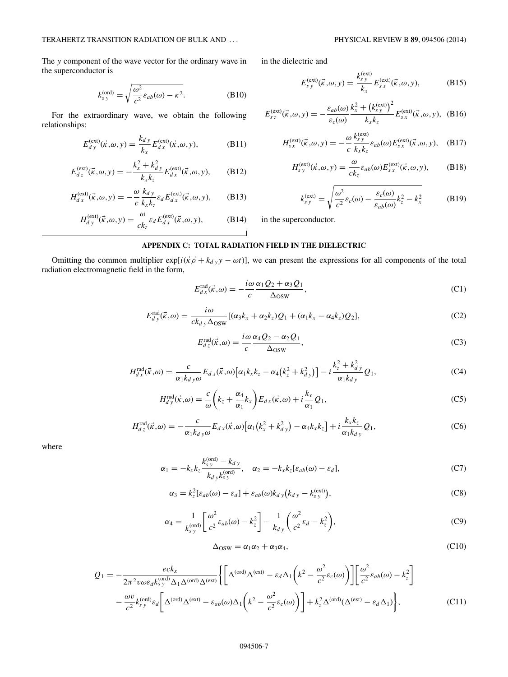<span id="page-6-0"></span>The *y* component of the wave vector for the ordinary wave in the superconductor is

$$
k_{s\,y}^{\text{(ord)}} = \sqrt{\frac{\omega^2}{c^2} \varepsilon_{ab}(\omega) - \kappa^2}.
$$
 (B10)

For the extraordinary wave, we obtain the following relationships:

$$
E_{dy}^{(\text{ext})}(\vec{\kappa}, \omega, y) = \frac{k_{dy}}{k_x} E_{dx}^{(\text{ext})}(\vec{\kappa}, \omega, y), \tag{B11}
$$

$$
E_{dz}^{(ext)}(\vec{\kappa}, \omega, y) = -\frac{k_x^2 + k_{dy}^2}{k_x k_z} E_{dx}^{(ext)}(\vec{\kappa}, \omega, y),
$$
 (B12)

$$
H_{dx}^{(\text{ext})}(\vec{\kappa}, \omega, y) = -\frac{\omega}{c} \frac{k_{dy}}{k_{x}k_{z}} \varepsilon_{d} E_{dx}^{(\text{ext})}(\vec{\kappa}, \omega, y), \qquad (B13)
$$

$$
H_{d\,y}^{(\text{ext})}(\vec{\kappa}, \omega, y) = \frac{\omega}{ck_z} \varepsilon_d E_{d\,x}^{(\text{ext})}(\vec{\kappa}, \omega, y), \tag{B14}
$$

in the dielectric and

$$
E_{sy}^{(\text{ext})}(\vec{\kappa}, \omega, y) = \frac{k_{sy}^{(\text{ext})}}{k_x} E_{sx}^{(\text{ext})}(\vec{\kappa}, \omega, y), \tag{B15}
$$

$$
E_{s\,z}^{(\text{ext})}(\vec{\kappa},\omega,y) = -\frac{\varepsilon_{ab}(\omega)}{\varepsilon_c(\omega)} \frac{k_x^2 + \left(k_{s\,y}^{(\text{ext})}\right)^2}{k_x k_z} E_{s\,x}^{(\text{ext})}(\vec{\kappa},\omega,y), \quad \text{(B16)}
$$

$$
H_{s}^{(\text{ext})}(\vec{\kappa}, \omega, y) = -\frac{\omega}{c} \frac{k_{s y}^{(\text{ext})}}{k_{x} k_{z}} \varepsilon_{ab}(\omega) E_{s x}^{(\text{ext})}(\vec{\kappa}, \omega, y), \quad \text{(B17)}
$$

$$
H_{s\,y}^{(\text{ext})}(\vec{\kappa},\omega,y) = \frac{\omega}{ck_z} \varepsilon_{ab}(\omega) E_{s\,x}^{(\text{ext})}(\vec{\kappa},\omega,y), \qquad \text{(B18)}
$$

$$
k_{s\,y}^{(\text{ext})} = \sqrt{\frac{\omega^2}{c^2} \varepsilon_c(\omega) - \frac{\varepsilon_c(\omega)}{\varepsilon_{ab}(\omega)} k_z^2 - k_x^2}
$$
(B19)

in the superconductor.

# **APPENDIX C: TOTAL RADIATION FIELD IN THE DIELECTRIC**

Omitting the common multiplier  $exp[i(\vec{k}\vec{\rho} + k_{dy}y - \omega t)]$ , we can present the expressions for all components of the total radiation electromagnetic field in the form,

$$
E_{d\,x}^{\text{rad}}(\vec{\kappa},\omega) = -\frac{i\omega}{c} \frac{\alpha_1 Q_2 + \alpha_3 Q_1}{\Delta_{\text{OSW}}},\tag{C1}
$$

$$
E_{dy}^{\text{rad}}(\vec{\kappa},\omega) = \frac{i\omega}{ck_{dy}\Delta_{\text{OSW}}}[(\alpha_3k_x + \alpha_2k_z)Q_1 + (\alpha_1k_x - \alpha_4k_z)Q_2],\tag{C2}
$$

$$
E_{d\,z}^{\text{rad}}(\vec{\kappa},\omega) = \frac{i\omega}{c} \frac{\alpha_4 Q_2 - \alpha_2 Q_1}{\Delta_{\text{OSW}}},\tag{C3}
$$

$$
H_{d\,x}^{\text{rad}}(\vec{\kappa},\omega) = \frac{c}{\alpha_1 k_{d\,y}\omega} E_{d\,x}(\vec{\kappa},\omega) \big[ \alpha_1 k_x k_z - \alpha_4 \big( k_z^2 + k_{d\,y}^2 \big) \big] - i \frac{k_z^2 + k_{d\,y}^2}{\alpha_1 k_{d\,y}} Q_1,\tag{C4}
$$

$$
H_{d\,y}^{\text{rad}}(\vec{\kappa},\omega) = \frac{c}{\omega} \left( k_z + \frac{\alpha_4}{\alpha_1} k_x \right) E_{d\,x}(\vec{\kappa},\omega) + i \frac{k_x}{\alpha_1} Q_1,\tag{C5}
$$

$$
H_{d\,z}^{\text{rad}}(\vec{\kappa},\omega) = -\frac{c}{\alpha_1 k_{d\,y}\omega} E_{d\,x}(\vec{\kappa},\omega) \big[\alpha_1 \big(k_x^2 + k_{d\,y}^2\big) - \alpha_4 k_x k_z\big] + i \frac{k_x k_z}{\alpha_1 k_{d\,y}} Q_1,\tag{C6}
$$

where

$$
\alpha_1 = -k_x k_z \frac{k_{sy}^{\text{(ord)}} - k_d y}{k_d y k_{sy}^{\text{(ord)}}}, \quad \alpha_2 = -k_x k_z [\varepsilon_{ab}(\omega) - \varepsilon_d], \tag{C7}
$$

$$
\alpha_3 = k_z^2 \left[ \varepsilon_{ab}(\omega) - \varepsilon_d \right] + \varepsilon_{ab}(\omega) k_{d\,y} \left( k_{d\,y} - k_{s\,y}^{(\text{ext})} \right),\tag{C8}
$$

$$
\alpha_4 = \frac{1}{k_s^{\text{(ord)}}} \left[ \frac{\omega^2}{c^2} \varepsilon_{ab}(\omega) - k_z^2 \right] - \frac{1}{k_d} \left( \frac{\omega^2}{c^2} \varepsilon_d - k_z^2 \right),\tag{C9}
$$

$$
\Delta_{\text{OSW}} = \alpha_1 \alpha_2 + \alpha_3 \alpha_4,\tag{C10}
$$

$$
Q_1 = -\frac{eck_x}{2\pi^2 v\omega\varepsilon_d k_s^{(\text{ord})}\Delta_1\Delta^{(\text{ord})}\Delta^{(\text{ext})}} \left\{ \left[ \Delta^{(\text{ord})}\Delta^{(\text{ext})} - \varepsilon_d \Delta_1 \left( k^2 - \frac{\omega^2}{c^2} \varepsilon_c(\omega) \right) \right] \left[ \frac{\omega^2}{c^2} \varepsilon_{ab}(\omega) - k_z^2 \right] - \frac{\omega v}{c^2} k_{s y}^{(\text{ord})} \varepsilon_d \left[ \Delta^{(\text{ord})}\Delta^{(\text{ext})} - \varepsilon_{ab}(\omega) \Delta_1 \left( k^2 - \frac{\omega^2}{c^2} \varepsilon_c(\omega) \right) \right] + k_z^2 \Delta^{(\text{ord})} (\Delta^{(\text{ext})} - \varepsilon_d \Delta_1) \right\},
$$
(C11)

#### 094506-7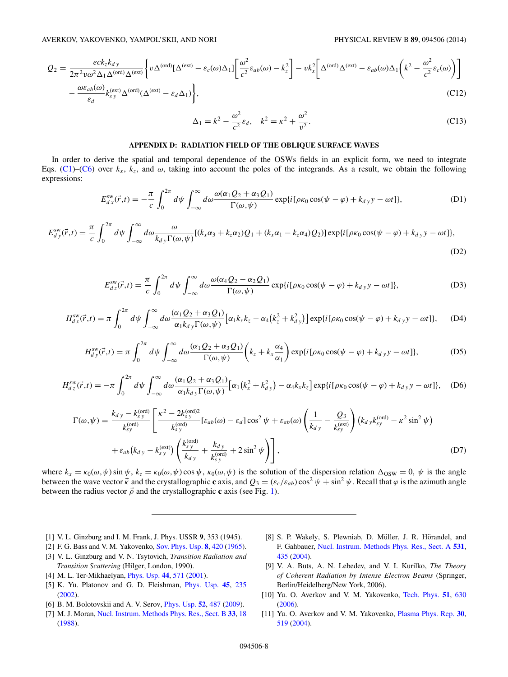<span id="page-7-0"></span>
$$
Q_2 = \frac{eck_z k_{dy}}{2\pi^2 v \omega^2 \Delta_1 \Delta^{(ord)} \Delta^{(ext)}} \left\{ v \Delta^{(ord)} [\Delta^{(ext)} - \varepsilon_c(\omega) \Delta_1] \left[ \frac{\omega^2}{c^2} \varepsilon_{ab}(\omega) - k_z^2 \right] - v k_x^2 \left[ \Delta^{(ord)} \Delta^{(ext)} - \varepsilon_{ab}(\omega) \Delta_1 \left( k^2 - \frac{\omega^2}{c^2} \varepsilon_c(\omega) \right) \right] - \frac{\omega \varepsilon_{ab}(\omega)}{\varepsilon_d} k_{sy}^{(ext)} \Delta^{(ord)} (\Delta^{(ext)} - \varepsilon_d \Delta_1) \right\},
$$
\n(C12)

$$
\Delta_1 = k^2 - \frac{\omega^2}{c^2} \varepsilon_d, \quad k^2 = \kappa^2 + \frac{\omega^2}{v^2}.
$$
 (C13)

#### **APPENDIX D: RADIATION FIELD OF THE OBLIQUE SURFACE WAVES**

In order to derive the spatial and temporal dependence of the OSWs fields in an explicit form, we need to integrate Eqs. [\(C1\)](#page-6-0)–[\(C6\)](#page-6-0) over  $k_x$ ,  $k_z$ , and  $\omega$ , taking into account the poles of the integrands. As a result, we obtain the following expressions:

$$
E_{d\,x}^{\rm sw}(\vec{r},t) = -\frac{\pi}{c} \int_0^{2\pi} d\psi \int_{-\infty}^{\infty} d\omega \frac{\omega(\alpha_1 Q_2 + \alpha_3 Q_1)}{\Gamma(\omega,\psi)} \exp\{i[\rho\kappa_0 \cos(\psi - \varphi) + k_{d\,y}y - \omega t]\},\tag{D1}
$$

$$
E_{d\,y}^{\rm sw}(\vec{r},t) = \frac{\pi}{c} \int_0^{2\pi} d\psi \int_{-\infty}^{\infty} d\omega \frac{\omega}{k_{d\,y} \Gamma(\omega,\psi)} [(k_x \alpha_3 + k_z \alpha_2)Q_1 + (k_x \alpha_1 - k_z \alpha_4)Q_2)] \exp\{i[\rho \kappa_0 \cos(\psi - \varphi) + k_{d\,y}y - \omega t]\},\tag{D2}
$$

$$
E_{d\,z}^{\rm sw}(\vec{r},t) = \frac{\pi}{c} \int_0^{2\pi} d\psi \int_{-\infty}^{\infty} d\omega \frac{\omega(\alpha_4 Q_2 - \alpha_2 Q_1)}{\Gamma(\omega, \psi)} \exp\{i[\rho \kappa_0 \cos(\psi - \varphi) + k_{d\,y} y - \omega t]\},\tag{D3}
$$

$$
H_{d\,x}^{\text{sw}}(\vec{r},t) = \pi \int_0^{2\pi} d\psi \int_{-\infty}^{\infty} d\omega \frac{(\alpha_1 Q_2 + \alpha_3 Q_1)}{\alpha_1 k_{d\,y} \Gamma(\omega,\psi)} \big[\alpha_1 k_x k_z - \alpha_4 (k_z^2 + k_{d\,y}^2)\big] \exp\{i[\rho \kappa_0 \cos(\psi - \varphi) + k_{d\,y} y - \omega t]\},\tag{D4}
$$

$$
H_{d\,y}^{\rm sw}(\vec{r},t) = \pi \int_0^{2\pi} d\psi \int_{-\infty}^{\infty} d\omega \frac{(\alpha_1 Q_2 + \alpha_3 Q_1)}{\Gamma(\omega,\psi)} \left(k_z + k_x \frac{\alpha_4}{\alpha_1}\right) \exp\{i[\rho \kappa_0 \cos(\psi - \varphi) + k_{d\,y} y - \omega t]\},\tag{D5}
$$

$$
H_{d\,z}^{sw}(\vec{r},t) = -\pi \int_0^{2\pi} d\psi \int_{-\infty}^{\infty} d\omega \frac{(\alpha_1 Q_2 + \alpha_3 Q_1)}{\alpha_1 k_{d\,y} \Gamma(\omega,\psi)} [\alpha_1 (k_x^2 + k_{d\,y}^2) - \alpha_4 k_x k_z] \exp\{i[\rho \kappa_0 \cos(\psi - \varphi) + k_{d\,y} y - \omega t]\}, \quad (D6)
$$

$$
\Gamma(\omega, \psi) = \frac{k_{d y} - k_{s y}^{\text{(ord)}}}{k_{s y}^{\text{(ord)}}} \left[ \frac{\kappa^2 - 2k_{s y}^{\text{(ord)2}}}{k_{s y}^{\text{(ord)}}} [\varepsilon_{ab}(\omega) - \varepsilon_d] \cos^2 \psi + \varepsilon_{ab}(\omega) \left( \frac{1}{k_{d y}} - \frac{Q_3}{k_{s y}^{\text{(ext)}}} \right) (k_{d y} k_{s y}^{\text{(ord)}} - \kappa^2 \sin^2 \psi) + \varepsilon_{ab} (k_{d y} - k_{s y}^{\text{(ext)}}) \left( \frac{k_{s y}^{\text{(ord)}}}{k_{d y}} + \frac{k_{d y}}{k_{s y}^{\text{(ord)}}} + 2 \sin^2 \psi \right) \right],
$$
\n(D7)

where  $k_x = \kappa_0(\omega, \psi) \sin \psi$ ,  $k_z = \kappa_0(\omega, \psi) \cos \psi$ ,  $\kappa_0(\omega, \psi)$  is the solution of the dispersion relation  $\Delta_{\text{OSW}} = 0$ ,  $\psi$  is the angle between the wave vector  $\vec{\kappa}$  and the crystallographic **c** axis, and  $Q_3 = (\varepsilon_c/\varepsilon_{ab}) \cos^2 \psi + \sin^2 \psi$ . Recall that  $\varphi$  is the azimuth angle between the radius vector  $\vec{\rho}$  and the crystallographic **c** axis (see Fig. [1\)](#page-1-0).

- [1] V. L. Ginzburg and I. M. Frank, J. Phys. USSR **9**, 353 (1945).
- [2] F. G. Bass and V. M. Yakovenko, [Sov. Phys. Usp.](http://dx.doi.org/10.1070/PU1965v008n03ABEH003054) **[8](http://dx.doi.org/10.1070/PU1965v008n03ABEH003054)**, [420](http://dx.doi.org/10.1070/PU1965v008n03ABEH003054) [\(1965\)](http://dx.doi.org/10.1070/PU1965v008n03ABEH003054).
- [3] V. L. Ginzburg and V. N. Tsytovich, *Transition Radiation and Transition Scattering* (Hilger, London, 1990).
- [4] M. L. Ter-Mikhaelyan, [Phys. Usp.](http://dx.doi.org/10.1070/PU2001v044n06ABEH000886) **[44](http://dx.doi.org/10.1070/PU2001v044n06ABEH000886)**, [571](http://dx.doi.org/10.1070/PU2001v044n06ABEH000886) [\(2001\)](http://dx.doi.org/10.1070/PU2001v044n06ABEH000886).
- [5] K. Yu. Platonov and G. D. Fleishman, [Phys. Usp.](http://dx.doi.org/10.1070/PU2002v045n03ABEH000952) **[45](http://dx.doi.org/10.1070/PU2002v045n03ABEH000952)**, [235](http://dx.doi.org/10.1070/PU2002v045n03ABEH000952) [\(2002\)](http://dx.doi.org/10.1070/PU2002v045n03ABEH000952).
- [6] B. M. Bolotovskii and A. V. Serov, [Phys. Usp.](http://dx.doi.org/10.3367/UFNe.0179.200905c.0517) **[52](http://dx.doi.org/10.3367/UFNe.0179.200905c.0517)**, [487](http://dx.doi.org/10.3367/UFNe.0179.200905c.0517) [\(2009\)](http://dx.doi.org/10.3367/UFNe.0179.200905c.0517).
- [7] M. J. Moran, [Nucl. Instrum. Methods Phys. Res., Sect. B](http://dx.doi.org/10.1016/0168-583X(88)90503-4) **[33](http://dx.doi.org/10.1016/0168-583X(88)90503-4)**, [18](http://dx.doi.org/10.1016/0168-583X(88)90503-4) [\(1988\)](http://dx.doi.org/10.1016/0168-583X(88)90503-4).
- [8] S. P. Wakely, S. Plewniab, D. Müller, J. R. Hörandel, and F. Gahbauer, [Nucl. Instrum. Methods Phys. Res., Sect. A](http://dx.doi.org/10.1016/j.nima.2004.04.245) **[531](http://dx.doi.org/10.1016/j.nima.2004.04.245)**, [435](http://dx.doi.org/10.1016/j.nima.2004.04.245) [\(2004\)](http://dx.doi.org/10.1016/j.nima.2004.04.245).
- [9] V. A. Buts, A. N. Lebedev, and V. I. Kurilko, *The Theory of Coherent Radiation by Intense Electron Beams* (Springer, Berlin/Heidelberg/New York, 2006).
- [10] Yu. O. Averkov and V. M. Yakovenko, [Tech. Phys.](http://dx.doi.org/10.1134/S106378420605015X) **[51](http://dx.doi.org/10.1134/S106378420605015X)**, [630](http://dx.doi.org/10.1134/S106378420605015X) [\(2006\)](http://dx.doi.org/10.1134/S106378420605015X).
- [11] Yu. O. Averkov and V. M. Yakovenko, [Plasma Phys. Rep.](http://dx.doi.org/10.1134/1.1768584) **[30](http://dx.doi.org/10.1134/1.1768584)**, [519](http://dx.doi.org/10.1134/1.1768584) [\(2004\)](http://dx.doi.org/10.1134/1.1768584).